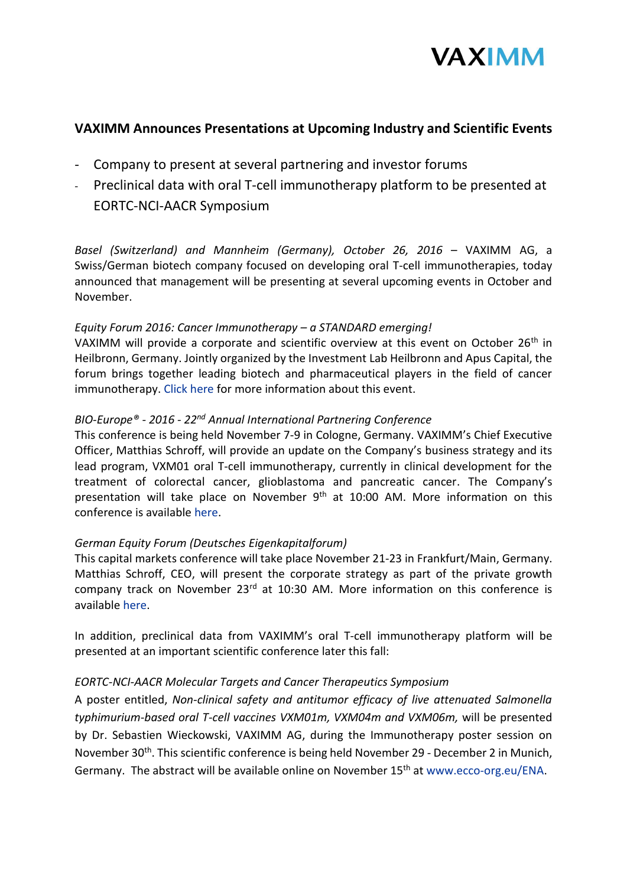

# **VAXIMM Announces Presentations at Upcoming Industry and Scientific Events**

- Company to present at several partnering and investor forums
- Preclinical data with oral T-cell immunotherapy platform to be presented at EORTC-NCI-AACR Symposium

*Basel (Switzerland) and Mannheim (Germany), October 26, 2016* – VAXIMM AG, a Swiss/German biotech company focused on developing oral T-cell immunotherapies, today announced that management will be presenting at several upcoming events in October and November.

## *Equity Forum 2016: Cancer Immunotherapy – a STANDARD emerging!*

VAXIMM will provide a corporate and scientific overview at this event on October 26<sup>th</sup> in Heilbronn, Germany. Jointly organized by the Investment Lab Heilbronn and Apus Capital, the forum brings together leading biotech and pharmaceutical players in the field of cancer immunotherapy. [Click here](http://www.investment-lab.de/en/home/equity-forum/cancer-immunotherapy-a-standard-emerging.html) for more information about this event.

## *BIO-Europe® - 2016 - 22nd Annual International Partnering Conference*

This conference is being held November 7-9 in Cologne, Germany. VAXIMM's Chief Executive Officer, Matthias Schroff, will provide an update on the Company's business strategy and its lead program, VXM01 oral T-cell immunotherapy, currently in clinical development for the treatment of colorectal cancer, glioblastoma and pancreatic cancer. The Company's presentation will take place on November 9<sup>th</sup> at 10:00 AM. More information on this conference is available [here.](https://ebdgroup.knect365.com/bioeurope/)

## *German Equity Forum (Deutsches Eigenkapitalforum)*

This capital markets conference will take place November 21-23 in Frankfurt/Main, Germany. Matthias Schroff, CEO, will present the corporate strategy as part of the private growth company track on November 23<sup>rd</sup> at 10:30 AM. More information on this conference is available [here.](https://www.eigenkapitalforum.com/index.php?lang=en)

In addition, preclinical data from VAXIMM's oral T-cell immunotherapy platform will be presented at an important scientific conference later this fall:

## *EORTC-NCI-AACR Molecular Targets and Cancer Therapeutics Symposium*

A poster entitled, *Non-clinical safety and antitumor efficacy of live attenuated Salmonella typhimurium-based oral T-cell vaccines VXM01m, VXM04m and VXM06m,* will be presented by Dr. Sebastien Wieckowski, VAXIMM AG, during the Immunotherapy poster session on November 30th. This scientific conference is being held November 29 - December 2 in Munich, Germany. The abstract will be available online on November 15<sup>th</sup> at [www.ecco-org.eu/ENA.](http://www.ecco-org.eu/ENA)